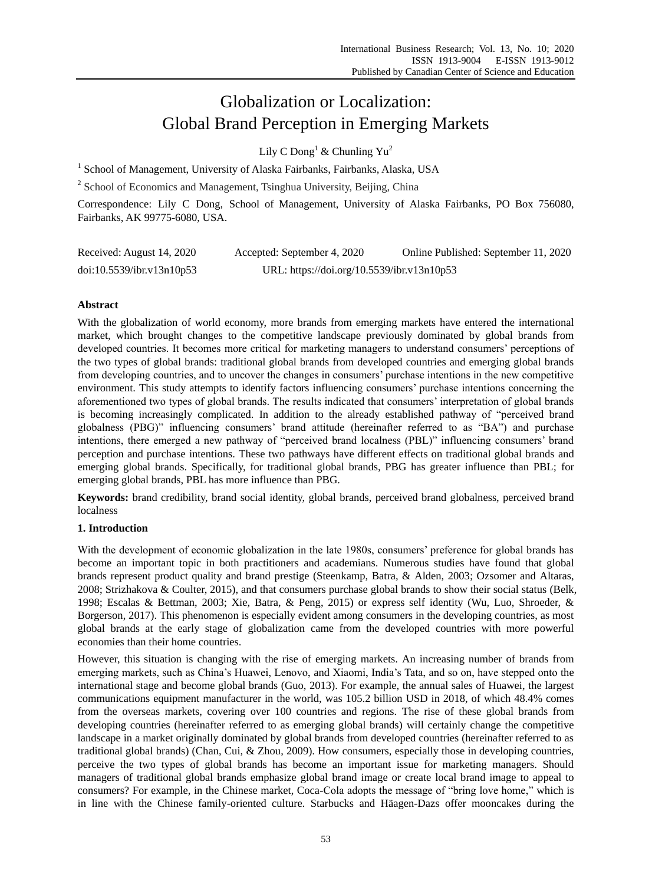# Globalization or Localization: Global Brand Perception in Emerging Markets

Lily C Dong<sup>1</sup> & Chunling  $Yu^2$ 

<sup>1</sup> School of Management, University of Alaska Fairbanks, Fairbanks, Alaska, USA

<sup>2</sup> School of Economics and Management, Tsinghua University, Beijing, China

Correspondence: Lily C Dong, School of Management, University of Alaska Fairbanks, PO Box 756080, Fairbanks, AK 99775-6080, USA.

| Received: August 14, 2020 | Accepted: September 4, 2020                | Online Published: September 11, 2020 |
|---------------------------|--------------------------------------------|--------------------------------------|
| doi:10.5539/ibr.v13n10p53 | URL: https://doi.org/10.5539/ibr.v13n10p53 |                                      |

# **Abstract**

With the globalization of world economy, more brands from emerging markets have entered the international market, which brought changes to the competitive landscape previously dominated by global brands from developed countries. It becomes more critical for marketing managers to understand consumers' perceptions of the two types of global brands: traditional global brands from developed countries and emerging global brands from developing countries, and to uncover the changes in consumers' purchase intentions in the new competitive environment. This study attempts to identify factors influencing consumers' purchase intentions concerning the aforementioned two types of global brands. The results indicated that consumers' interpretation of global brands is becoming increasingly complicated. In addition to the already established pathway of "perceived brand globalness (PBG)" influencing consumers' brand attitude (hereinafter referred to as "BA") and purchase intentions, there emerged a new pathway of "perceived brand localness (PBL)" influencing consumers' brand perception and purchase intentions. These two pathways have different effects on traditional global brands and emerging global brands. Specifically, for traditional global brands, PBG has greater influence than PBL; for emerging global brands, PBL has more influence than PBG.

**Keywords:** brand credibility, brand social identity, global brands, perceived brand globalness, perceived brand localness

# **1. Introduction**

With the development of economic globalization in the late 1980s, consumers' preference for global brands has become an important topic in both practitioners and academians. Numerous studies have found that global brands represent product quality and brand prestige (Steenkamp, Batra, & Alden, 2003; Ozsomer and Altaras, 2008; Strizhakova & Coulter, 2015), and that consumers purchase global brands to show their social status (Belk, 1998; Escalas & Bettman, 2003; Xie, Batra, & Peng, 2015) or express self identity (Wu, Luo, Shroeder, & Borgerson, 2017). This phenomenon is especially evident among consumers in the developing countries, as most global brands at the early stage of globalization came from the developed countries with more powerful economies than their home countries.

However, this situation is changing with the rise of emerging markets. An increasing number of brands from emerging markets, such as China's Huawei, Lenovo, and Xiaomi, India's Tata, and so on, have stepped onto the international stage and become global brands (Guo, 2013). For example, the annual sales of Huawei, the largest communications equipment manufacturer in the world, was 105.2 billion USD in 2018, of which 48.4% comes from the overseas markets, covering over 100 countries and regions. The rise of these global brands from developing countries (hereinafter referred to as emerging global brands) will certainly change the competitive landscape in a market originally dominated by global brands from developed countries (hereinafter referred to as traditional global brands) (Chan, Cui, & Zhou, 2009). How consumers, especially those in developing countries, perceive the two types of global brands has become an important issue for marketing managers. Should managers of traditional global brands emphasize global brand image or create local brand image to appeal to consumers? For example, in the Chinese market, Coca-Cola adopts the message of "bring love home," which is in line with the Chinese family-oriented culture. Starbucks and Häagen-Dazs offer mooncakes during the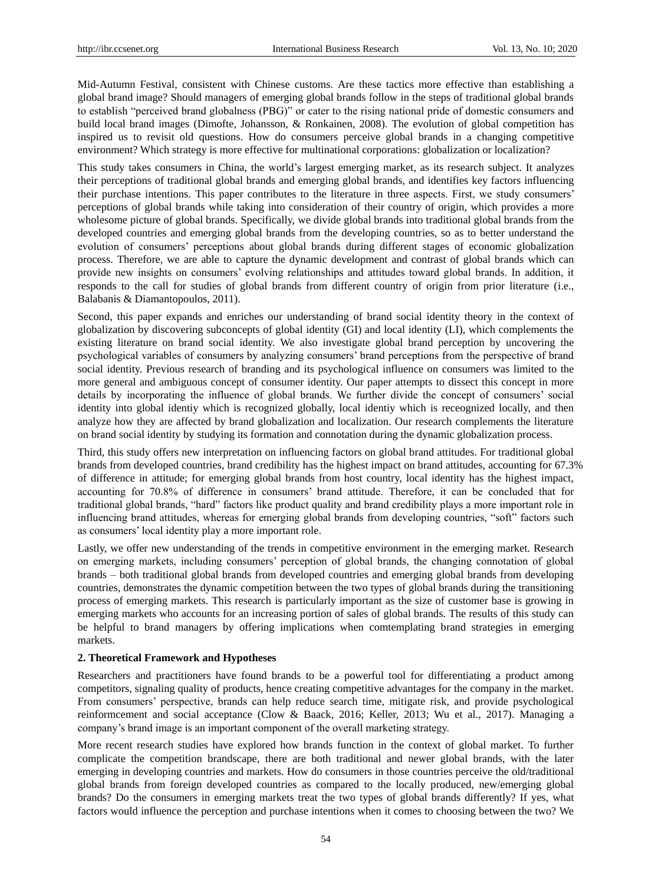Mid-Autumn Festival, consistent with Chinese customs. Are these tactics more effective than establishing a global brand image? Should managers of emerging global brands follow in the steps of traditional global brands to establish "perceived brand globalness (PBG)" or cater to the rising national pride of domestic consumers and build local brand images (Dimofte, Johansson, & Ronkainen, 2008). The evolution of global competition has inspired us to revisit old questions. How do consumers perceive global brands in a changing competitive environment? Which strategy is more effective for multinational corporations: globalization or localization?

This study takes consumers in China, the world's largest emerging market, as its research subject. It analyzes their perceptions of traditional global brands and emerging global brands, and identifies key factors influencing their purchase intentions. This paper contributes to the literature in three aspects. First, we study consumers' perceptions of global brands while taking into consideration of their country of origin, which provides a more wholesome picture of global brands. Specifically, we divide global brands into traditional global brands from the developed countries and emerging global brands from the developing countries, so as to better understand the evolution of consumers' perceptions about global brands during different stages of economic globalization process. Therefore, we are able to capture the dynamic development and contrast of global brands which can provide new insights on consumers' evolving relationships and attitudes toward global brands. In addition, it responds to the call for studies of global brands from different country of origin from prior literature (i.e., Balabanis & Diamantopoulos, 2011).

Second, this paper expands and enriches our understanding of brand social identity theory in the context of globalization by discovering subconcepts of global identity (GI) and local identity (LI), which complements the existing literature on brand social identity. We also investigate global brand perception by uncovering the psychological variables of consumers by analyzing consumers' brand perceptions from the perspective of brand social identity. Previous research of branding and its psychological influence on consumers was limited to the more general and ambiguous concept of consumer identity. Our paper attempts to dissect this concept in more details by incorporating the influence of global brands. We further divide the concept of consumers' social identity into global identiy which is recognized globally, local identiy which is receognized locally, and then analyze how they are affected by brand globalization and localization. Our research complements the literature on brand social identity by studying its formation and connotation during the dynamic globalization process.

Third, this study offers new interpretation on influencing factors on global brand attitudes. For traditional global brands from developed countries, brand credibility has the highest impact on brand attitudes, accounting for 67.3% of difference in attitude; for emerging global brands from host country, local identity has the highest impact, accounting for 70.8% of difference in consumers' brand attitude. Therefore, it can be concluded that for traditional global brands, "hard" factors like product quality and brand credibility plays a more important role in influencing brand attitudes, whereas for emerging global brands from developing countries, "soft" factors such as consumers' local identity play a more important role.

Lastly, we offer new understanding of the trends in competitive environment in the emerging market. Research on emerging markets, including consumers' perception of global brands, the changing connotation of global brands – both traditional global brands from developed countries and emerging global brands from developing countries, demonstrates the dynamic competition between the two types of global brands during the transitioning process of emerging markets. This research is particularly important as the size of customer base is growing in emerging markets who accounts for an increasing portion of sales of global brands. The results of this study can be helpful to brand managers by offering implications when comtemplating brand strategies in emerging markets.

#### **2. Theoretical Framework and Hypotheses**

Researchers and practitioners have found brands to be a powerful tool for differentiating a product among competitors, signaling quality of products, hence creating competitive advantages for the company in the market. From consumers' perspective, brands can help reduce search time, mitigate risk, and provide psychological reinformcement and social acceptance (Clow & Baack, 2016; Keller, 2013; Wu et al., 2017). Managing a company's brand image is an important component of the overall marketing strategy.

More recent research studies have explored how brands function in the context of global market. To further complicate the competition brandscape, there are both traditional and newer global brands, with the later emerging in developing countries and markets. How do consumers in those countries perceive the old/traditional global brands from foreign developed countries as compared to the locally produced, new/emerging global brands? Do the consumers in emerging markets treat the two types of global brands differently? If yes, what factors would influence the perception and purchase intentions when it comes to choosing between the two? We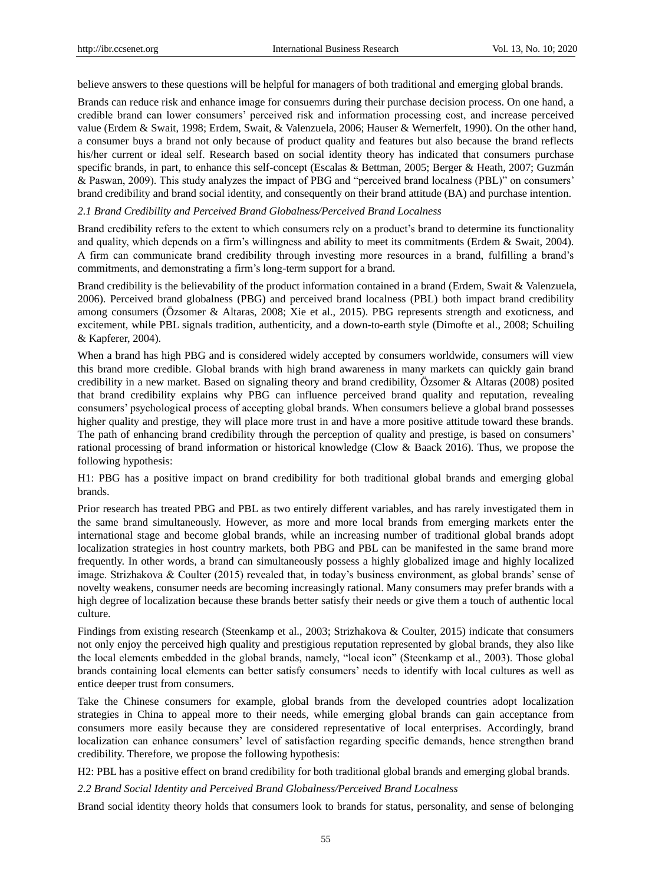believe answers to these questions will be helpful for managers of both traditional and emerging global brands.

Brands can reduce risk and enhance image for consuemrs during their purchase decision process. On one hand, a credible brand can lower consumers' perceived risk and information processing cost, and increase perceived value (Erdem & Swait, 1998; Erdem, Swait, & Valenzuela, 2006; Hauser & Wernerfelt, 1990). On the other hand, a consumer buys a brand not only because of product quality and features but also because the brand reflects his/her current or ideal self. Research based on social identity theory has indicated that consumers purchase specific brands, in part, to enhance this self-concept (Escalas & Bettman, 2005; Berger & Heath, 2007; Guzmán & Paswan, 2009). This study analyzes the impact of PBG and "perceived brand localness (PBL)" on consumers' brand credibility and brand social identity, and consequently on their brand attitude (BA) and purchase intention.

## *2.1 Brand Credibility and Perceived Brand Globalness/Perceived Brand Localness*

Brand credibility refers to the extent to which consumers rely on a product's brand to determine its functionality and quality, which depends on a firm's willingness and ability to meet its commitments (Erdem & Swait, 2004). A firm can communicate brand credibility through investing more resources in a brand, fulfilling a brand's commitments, and demonstrating a firm's long-term support for a brand.

Brand credibility is the believability of the product information contained in a brand (Erdem, Swait & Valenzuela, 2006). Perceived brand globalness (PBG) and perceived brand localness (PBL) both impact brand credibility among consumers (Özsomer & Altaras, 2008; Xie et al., 2015). PBG represents strength and exoticness, and excitement, while PBL signals tradition, authenticity, and a down-to-earth style (Dimofte et al., 2008; Schuiling & Kapferer, 2004).

When a brand has high PBG and is considered widely accepted by consumers worldwide, consumers will view this brand more credible. Global brands with high brand awareness in many markets can quickly gain brand credibility in a new market. Based on signaling theory and brand credibility, Özsomer & Altaras (2008) posited that brand credibility explains why PBG can influence perceived brand quality and reputation, revealing consumers' psychological process of accepting global brands. When consumers believe a global brand possesses higher quality and prestige, they will place more trust in and have a more positive attitude toward these brands. The path of enhancing brand credibility through the perception of quality and prestige, is based on consumers' rational processing of brand information or historical knowledge (Clow & Baack 2016). Thus, we propose the following hypothesis:

H1: PBG has a positive impact on brand credibility for both traditional global brands and emerging global brands.

Prior research has treated PBG and PBL as two entirely different variables, and has rarely investigated them in the same brand simultaneously. However, as more and more local brands from emerging markets enter the international stage and become global brands, while an increasing number of traditional global brands adopt localization strategies in host country markets, both PBG and PBL can be manifested in the same brand more frequently. In other words, a brand can simultaneously possess a highly globalized image and highly localized image. Strizhakova & Coulter (2015) revealed that, in today's business environment, as global brands' sense of novelty weakens, consumer needs are becoming increasingly rational. Many consumers may prefer brands with a high degree of localization because these brands better satisfy their needs or give them a touch of authentic local culture.

Findings from existing research (Steenkamp et al., 2003; Strizhakova & Coulter, 2015) indicate that consumers not only enjoy the perceived high quality and prestigious reputation represented by global brands, they also like the local elements embedded in the global brands, namely, "local icon" (Steenkamp et al., 2003). Those global brands containing local elements can better satisfy consumers' needs to identify with local cultures as well as entice deeper trust from consumers.

Take the Chinese consumers for example, global brands from the developed countries adopt localization strategies in China to appeal more to their needs, while emerging global brands can gain acceptance from consumers more easily because they are considered representative of local enterprises. Accordingly, brand localization can enhance consumers' level of satisfaction regarding specific demands, hence strengthen brand credibility. Therefore, we propose the following hypothesis:

H2: PBL has a positive effect on brand credibility for both traditional global brands and emerging global brands.

*2.2 Brand Social Identity and Perceived Brand Globalness/Perceived Brand Localness*

Brand social identity theory holds that consumers look to brands for status, personality, and sense of belonging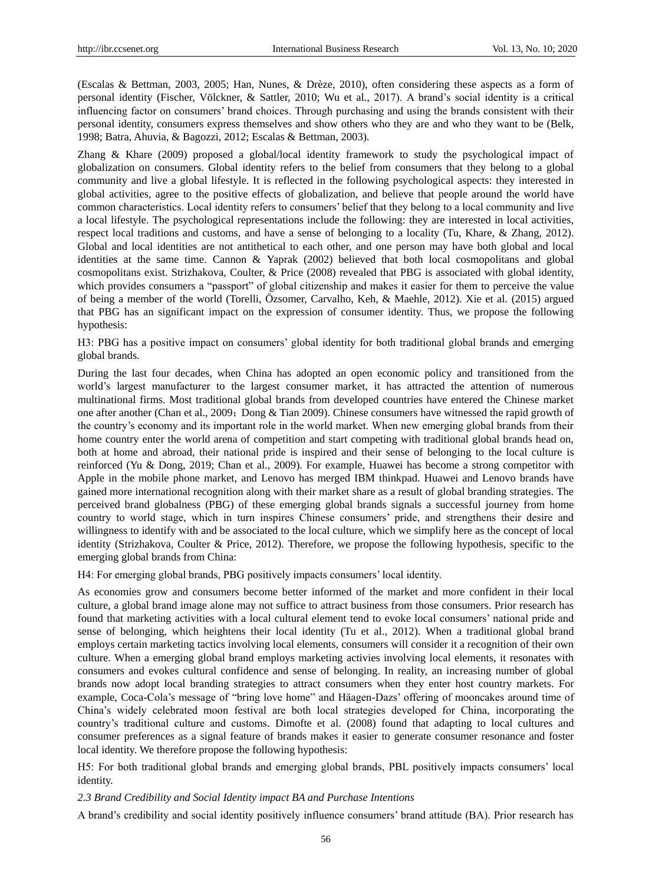(Escalas & Bettman, 2003, 2005; Han, Nunes, & Drèze, 2010), often considering these aspects as a form of personal identity (Fischer, Völckner, & Sattler, 2010; Wu et al., 2017). A brand's social identity is a critical influencing factor on consumers' brand choices. Through purchasing and using the brands consistent with their personal identity, consumers express themselves and show others who they are and who they want to be (Belk, 1998; Batra, Ahuvia, & Bagozzi, 2012; Escalas & Bettman, 2003).

Zhang & Khare (2009) proposed a global/local identity framework to study the psychological impact of globalization on consumers. Global identity refers to the belief from consumers that they belong to a global community and live a global lifestyle. It is reflected in the following psychological aspects: they interested in global activities, agree to the positive effects of globalization, and believe that people around the world have common characteristics. Local identity refers to consumers' belief that they belong to a local community and live a local lifestyle. The psychological representations include the following: they are interested in local activities, respect local traditions and customs, and have a sense of belonging to a locality (Tu, Khare, & Zhang, 2012). Global and local identities are not antithetical to each other, and one person may have both global and local identities at the same time. Cannon & Yaprak (2002) believed that both local cosmopolitans and global cosmopolitans exist. Strizhakova, Coulter, & Price (2008) revealed that PBG is associated with global identity, which provides consumers a "passport" of global citizenship and makes it easier for them to perceive the value of being a member of the world (Torelli, Özsomer, Carvalho, Keh, & Maehle, 2012). Xie et al. (2015) argued that PBG has an significant impact on the expression of consumer identity. Thus, we propose the following hypothesis:

H3: PBG has a positive impact on consumers' global identity for both traditional global brands and emerging global brands.

During the last four decades, when China has adopted an open economic policy and transitioned from the world's largest manufacturer to the largest consumer market, it has attracted the attention of numerous multinational firms. Most traditional global brands from developed countries have entered the Chinese market one after another (Chan et al., 2009; Dong & Tian 2009). Chinese consumers have witnessed the rapid growth of the country's economy and its important role in the world market. When new emerging global brands from their home country enter the world arena of competition and start competing with traditional global brands head on, both at home and abroad, their national pride is inspired and their sense of belonging to the local culture is reinforced (Yu & Dong, 2019; Chan et al., 2009). For example, Huawei has become a strong competitor with Apple in the mobile phone market, and Lenovo has merged IBM thinkpad. Huawei and Lenovo brands have gained more international recognition along with their market share as a result of global branding strategies. The perceived brand globalness (PBG) of these emerging global brands signals a successful journey from home country to world stage, which in turn inspires Chinese consumers' pride, and strengthens their desire and willingness to identify with and be associated to the local culture, which we simplify here as the concept of local identity (Strizhakova, Coulter & Price, 2012). Therefore, we propose the following hypothesis, specific to the emerging global brands from China:

H4: For emerging global brands, PBG positively impacts consumers' local identity.

As economies grow and consumers become better informed of the market and more confident in their local culture, a global brand image alone may not suffice to attract business from those consumers. Prior research has found that marketing activities with a local cultural element tend to evoke local consumers' national pride and sense of belonging, which heightens their local identity (Tu et al., 2012). When a traditional global brand employs certain marketing tactics involving local elements, consumers will consider it a recognition of their own culture. When a emerging global brand employs marketing activies involving local elements, it resonates with consumers and evokes cultural confidence and sense of belonging. In reality, an increasing number of global brands now adopt local branding strategies to attract consumers when they enter host country markets. For example, Coca-Cola's message of "bring love home" and Häagen-Dazs' offering of mooncakes around time of China's widely celebrated moon festival are both local strategies developed for China, incorporating the country's traditional culture and customs. Dimofte et al. (2008) found that adapting to local cultures and consumer preferences as a signal feature of brands makes it easier to generate consumer resonance and foster local identity. We therefore propose the following hypothesis:

H5: For both traditional global brands and emerging global brands, PBL positively impacts consumers' local identity.

*2.3 Brand Credibility and Social Identity impact BA and Purchase Intentions*

A brand's credibility and social identity positively influence consumers' brand attitude (BA). Prior research has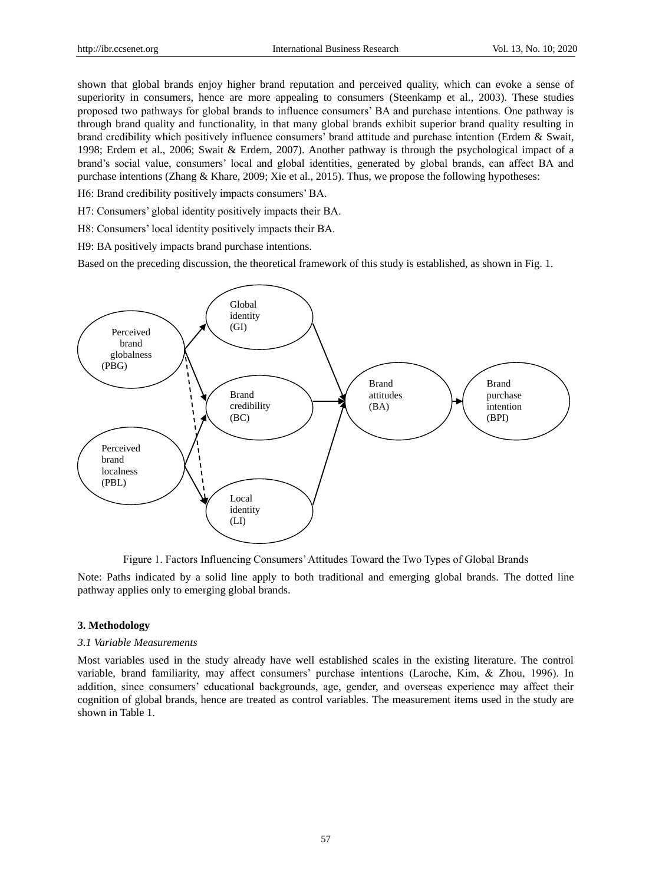shown that global brands enjoy higher brand reputation and perceived quality, which can evoke a sense of superiority in consumers, hence are more appealing to consumers (Steenkamp et al., 2003). These studies proposed two pathways for global brands to influence consumers' BA and purchase intentions. One pathway is through brand quality and functionality, in that many global brands exhibit superior brand quality resulting in brand credibility which positively influence consumers' brand attitude and purchase intention (Erdem & Swait, 1998; Erdem et al., 2006; Swait & Erdem, 2007). Another pathway is through the psychological impact of a brand's social value, consumers' local and global identities, generated by global brands, can affect BA and purchase intentions (Zhang & Khare, 2009; Xie et al., 2015). Thus, we propose the following hypotheses:

H6: Brand credibility positively impacts consumers' BA.

H7: Consumers' global identity positively impacts their BA.

H8: Consumers' local identity positively impacts their BA.

H9: BA positively impacts brand purchase intentions.

Based on the preceding discussion, the theoretical framework of this study is established, as shown in Fig. 1.



Figure 1. Factors Influencing Consumers' Attitudes Toward the Two Types of Global Brands

Note: Paths indicated by a solid line apply to both traditional and emerging global brands. The dotted line pathway applies only to emerging global brands.

## **3. Methodology**

## *3.1 Variable Measurements*

Most variables used in the study already have well established scales in the existing literature. The control variable, brand familiarity, may affect consumers' purchase intentions (Laroche, Kim, & Zhou, 1996). In addition, since consumers' educational backgrounds, age, gender, and overseas experience may affect their cognition of global brands, hence are treated as control variables. The measurement items used in the study are shown in Table 1.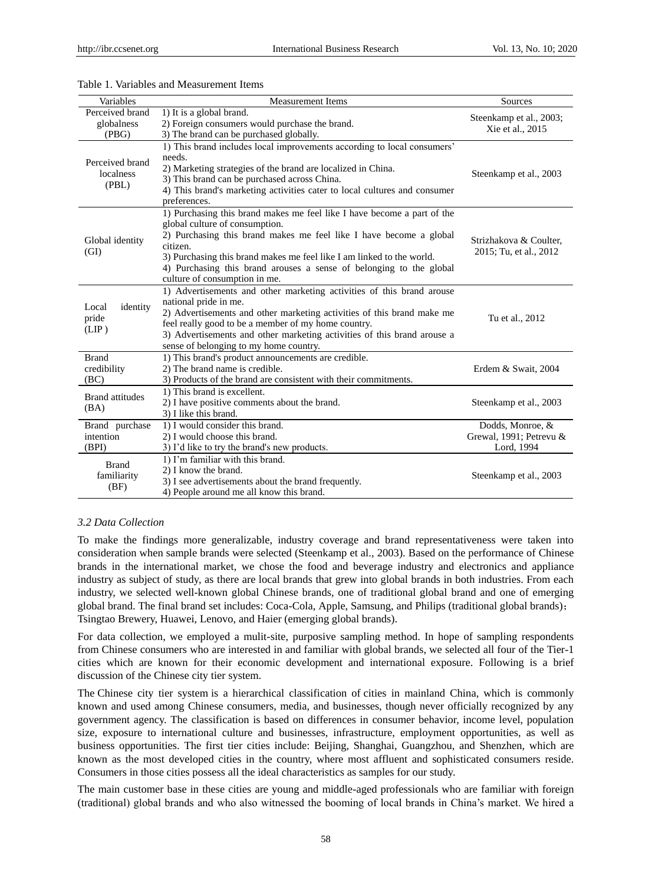| Variables                              | <b>Measurement Items</b>                                                                                                                                                                                                                                                                                                                                                     | Sources                                                   |
|----------------------------------------|------------------------------------------------------------------------------------------------------------------------------------------------------------------------------------------------------------------------------------------------------------------------------------------------------------------------------------------------------------------------------|-----------------------------------------------------------|
| Perceived brand<br>globalness<br>(PBG) | 1) It is a global brand.<br>2) Foreign consumers would purchase the brand.<br>3) The brand can be purchased globally.                                                                                                                                                                                                                                                        | Steenkamp et al., 2003;<br>Xie et al., 2015               |
| Perceived brand<br>localness<br>(PBL)  | 1) This brand includes local improvements according to local consumers'<br>needs.<br>2) Marketing strategies of the brand are localized in China.<br>3) This brand can be purchased across China.<br>4) This brand's marketing activities cater to local cultures and consumer<br>preferences.                                                                               | Steenkamp et al., 2003                                    |
| Global identity<br>(GI)                | 1) Purchasing this brand makes me feel like I have become a part of the<br>global culture of consumption.<br>2) Purchasing this brand makes me feel like I have become a global<br>citizen.<br>3) Purchasing this brand makes me feel like I am linked to the world.<br>4) Purchasing this brand arouses a sense of belonging to the global<br>culture of consumption in me. | Strizhakova & Coulter.<br>2015; Tu, et al., 2012          |
| identity<br>Local<br>pride<br>(LIP)    | 1) Advertisements and other marketing activities of this brand arouse<br>national pride in me.<br>2) Advertisements and other marketing activities of this brand make me<br>feel really good to be a member of my home country.<br>3) Advertisements and other marketing activities of this brand arouse a<br>sense of belonging to my home country.                         | Tu et al., 2012                                           |
| <b>Brand</b><br>credibility<br>(BC)    | 1) This brand's product announcements are credible.<br>2) The brand name is credible.<br>3) Products of the brand are consistent with their commitments.                                                                                                                                                                                                                     | Erdem & Swait, 2004                                       |
| <b>Brand</b> attitudes<br>(BA)         | 1) This brand is excellent.<br>2) I have positive comments about the brand.<br>3) I like this brand.                                                                                                                                                                                                                                                                         | Steenkamp et al., 2003                                    |
| Brand purchase<br>intention<br>(BPI)   | 1) I would consider this brand.<br>2) I would choose this brand.<br>3) I'd like to try the brand's new products.                                                                                                                                                                                                                                                             | Dodds, Monroe, &<br>Grewal, 1991; Petrevu &<br>Lord, 1994 |
| <b>Brand</b><br>familiarity<br>(BF)    | 1) I'm familiar with this brand.<br>2) I know the brand.<br>3) I see advertisements about the brand frequently.<br>4) People around me all know this brand.                                                                                                                                                                                                                  | Steenkamp et al., 2003                                    |

## Table 1. Variables and Measurement Items

# *3.2 Data Collection*

To make the findings more generalizable, industry coverage and brand representativeness were taken into consideration when sample brands were selected (Steenkamp et al., 2003). Based on the performance of Chinese brands in the international market, we chose the food and beverage industry and electronics and appliance industry as subject of study, as there are local brands that grew into global brands in both industries. From each industry, we selected well-known global Chinese brands, one of traditional global brand and one of emerging global brand. The final brand set includes: Coca-Cola, Apple, Samsung, and Philips (traditional global brands); Tsingtao Brewery, Huawei, Lenovo, and Haier (emerging global brands).

For data collection, we employed a mulit-site, purposive sampling method. In hope of sampling respondents from Chinese consumers who are interested in and familiar with global brands, we selected all four of the Tier-1 cities which are known for their economic development and international exposure. Following is a brief discussion of the Chinese city tier system.

The Chinese city tier system is a hierarchical classification of [cities](https://en.wikipedia.org/wiki/List_of_cities_in_China) in mainland China, which is commonly known and used among Chinese consumers, media, and businesses, though never officially recognized by any government agency. The classification is based on differences in consumer behavior, income level, population size, exposure to international culture and businesses, infrastructure, employment opportunities, as well as business opportunities. The first tier cities include: Beijing, Shanghai, Guangzhou, and Shenzhen, which are known as the most developed cities in the country, where most affluent and sophisticated consumers reside. Consumers in those cities possess all the ideal characteristics as samples for our study.

The main customer base in these cities are young and middle-aged professionals who are familiar with foreign (traditional) global brands and who also witnessed the booming of local brands in China's market. We hired a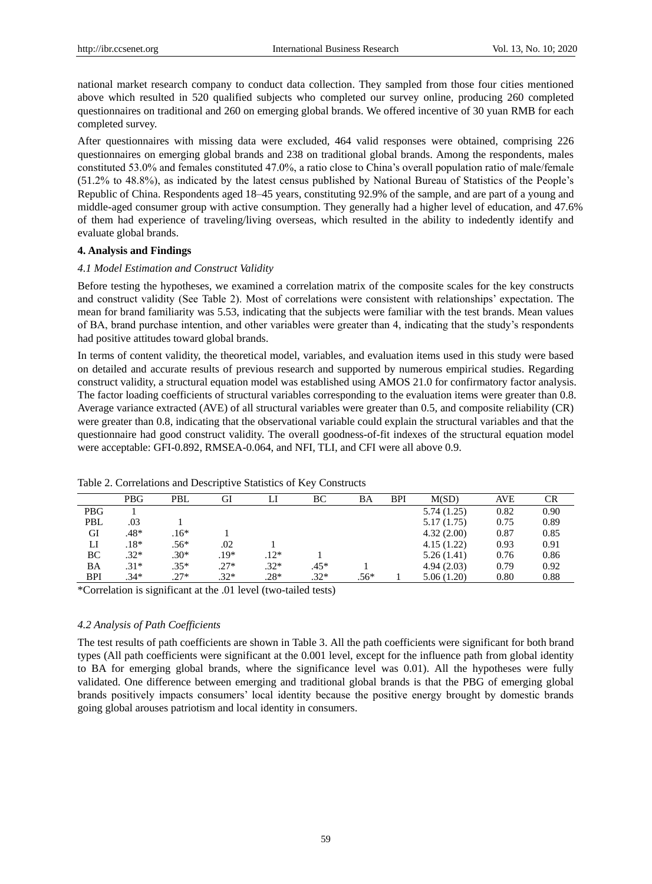national market research company to conduct data collection. They sampled from those four cities mentioned above which resulted in 520 qualified subjects who completed our survey online, producing 260 completed questionnaires on traditional and 260 on emerging global brands. We offered incentive of 30 yuan RMB for each completed survey.

After questionnaires with missing data were excluded, 464 valid responses were obtained, comprising 226 questionnaires on emerging global brands and 238 on traditional global brands. Among the respondents, males constituted 53.0% and females constituted 47.0%, a ratio close to China's overall population ratio of male/female (51.2% to 48.8%), as indicated by the latest census published by National Bureau of Statistics of the People's Republic of China. Respondents aged 18–45 years, constituting 92.9% of the sample, and are part of a young and middle-aged consumer group with active consumption. They generally had a higher level of education, and 47.6% of them had experience of traveling/living overseas, which resulted in the ability to indedently identify and evaluate global brands.

#### **4. Analysis and Findings**

#### *4.1 Model Estimation and Construct Validity*

Before testing the hypotheses, we examined a correlation matrix of the composite scales for the key constructs and construct validity (See Table 2). Most of correlations were consistent with relationships' expectation. The mean for brand familiarity was 5.53, indicating that the subjects were familiar with the test brands. Mean values of BA, brand purchase intention, and other variables were greater than 4, indicating that the study's respondents had positive attitudes toward global brands.

In terms of content validity, the theoretical model, variables, and evaluation items used in this study were based on detailed and accurate results of previous research and supported by numerous empirical studies. Regarding construct validity, a structural equation model was established using AMOS 21.0 for confirmatory factor analysis. The factor loading coefficients of structural variables corresponding to the evaluation items were greater than 0.8. Average variance extracted (AVE) of all structural variables were greater than 0.5, and composite reliability (CR) were greater than 0.8, indicating that the observational variable could explain the structural variables and that the questionnaire had good construct validity. The overall goodness-of-fit indexes of the structural equation model were acceptable: GFI-0.892, RMSEA-0.064, and NFI, TLI, and CFI were all above 0.9.

|            | <b>PBG</b> | PBL    | GI     |        | BС     | BA     | BPI | M(SD)      | AVE  | CR   |
|------------|------------|--------|--------|--------|--------|--------|-----|------------|------|------|
| <b>PBG</b> |            |        |        |        |        |        |     | 5.74(1.25) | 0.82 | 0.90 |
| PBL        | .03        |        |        |        |        |        |     | 5.17(1.75) | 0.75 | 0.89 |
| GI         | .48*       | $.16*$ |        |        |        |        |     | 4.32(2.00) | 0.87 | 0.85 |
| LI         | $.18*$     | $.56*$ | .02    |        |        |        |     | 4.15(1.22) | 0.93 | 0.91 |
| BC         | $.32*$     | $.30*$ | $.19*$ | $.12*$ |        |        |     | 5.26(1.41) | 0.76 | 0.86 |
| ΒA         | $.31*$     | $.35*$ | $.27*$ | $.32*$ | $.45*$ |        |     | 4.94(2.03) | 0.79 | 0.92 |
| BPI        | $.34*$     | $.27*$ | $.32*$ | $.28*$ | $.32*$ | $.56*$ |     | 5.06(1.20) | 0.80 | 0.88 |

Table 2. Correlations and Descriptive Statistics of Key Constructs

\*Correlation is significant at the .01 level (two-tailed tests)

#### *4.2 Analysis of Path Coefficients*

The test results of path coefficients are shown in Table 3. All the path coefficients were significant for both brand types (All path coefficients were significant at the 0.001 level, except for the influence path from global identity to BA for emerging global brands, where the significance level was 0.01). All the hypotheses were fully validated. One difference between emerging and traditional global brands is that the PBG of emerging global brands positively impacts consumers' local identity because the positive energy brought by domestic brands going global arouses patriotism and local identity in consumers.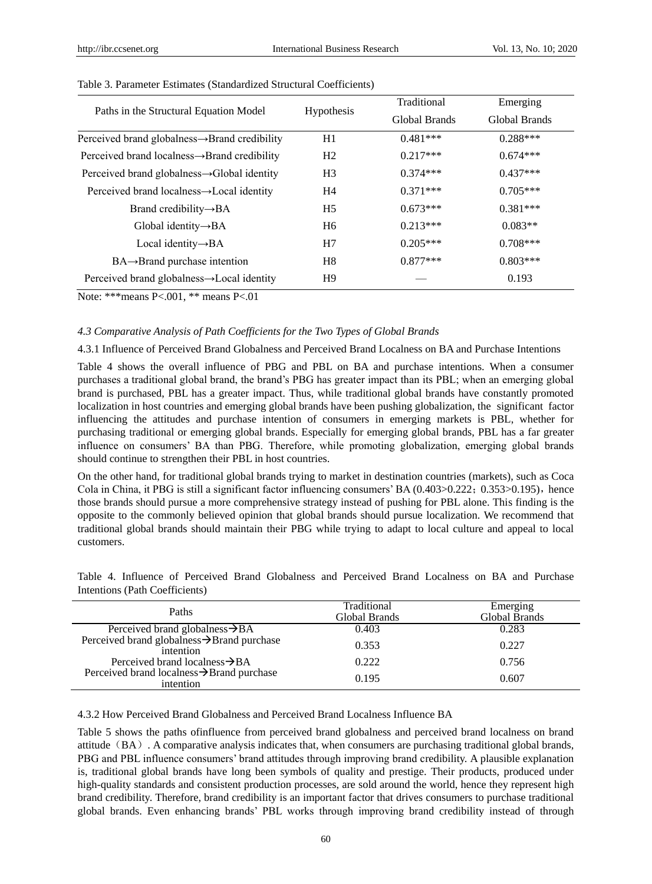|                                                           |                   | Traditional   | Emerging      |  |  |
|-----------------------------------------------------------|-------------------|---------------|---------------|--|--|
| Paths in the Structural Equation Model                    | <b>Hypothesis</b> | Global Brands | Global Brands |  |  |
| Perceived brand globalness→Brand credibility              | H1                | $0.481***$    | $0.288***$    |  |  |
| Perceived brand localness $\rightarrow$ Brand credibility | H <sub>2</sub>    | $0.217***$    | $0.674***$    |  |  |
| Perceived brand globalness $\rightarrow$ Global identity  | H <sub>3</sub>    | $0.374***$    | $0.437***$    |  |  |
| Perceived brand localness $\rightarrow$ Local identity    | H4                | $0.371***$    | $0.705***$    |  |  |
| Brand credibility $\rightarrow$ BA                        | H <sub>5</sub>    | $0.673***$    | $0.381***$    |  |  |
| Global identity $\rightarrow$ BA                          | H6                | $0.213***$    | $0.083**$     |  |  |
| Local identity $\rightarrow$ BA                           | H7                | $0.205***$    | $0.708***$    |  |  |
| $BA \rightarrow$ Brand purchase intention                 | H <sup>8</sup>    | $0.877***$    | $0.803***$    |  |  |
| Perceived brand globalness $\rightarrow$ Local identity   | H9                |               | 0.193         |  |  |

#### Table 3. Parameter Estimates (Standardized Structural Coefficients)

Note: \*\*\*means P<.001, \*\* means P<.01

#### *4.3 Comparative Analysis of Path Coefficients for the Two Types of Global Brands*

4.3.1 Influence of Perceived Brand Globalness and Perceived Brand Localness on BA and Purchase Intentions

Table 4 shows the overall influence of PBG and PBL on BA and purchase intentions. When a consumer purchases a traditional global brand, the brand's PBG has greater impact than its PBL; when an emerging global brand is purchased, PBL has a greater impact. Thus, while traditional global brands have constantly promoted localization in host countries and emerging global brands have been pushing globalization, the significant factor influencing the attitudes and purchase intention of consumers in emerging markets is PBL, whether for purchasing traditional or emerging global brands. Especially for emerging global brands, PBL has a far greater influence on consumers' BA than PBG. Therefore, while promoting globalization, emerging global brands should continue to strengthen their PBL in host countries.

On the other hand, for traditional global brands trying to market in destination countries (markets), such as Coca Cola in China, it PBG is still a significant factor influencing consumers' BA  $(0.403>0.222; 0.353>0.195)$ , hence those brands should pursue a more comprehensive strategy instead of pushing for PBL alone. This finding is the opposite to the commonly believed opinion that global brands should pursue localization. We recommend that traditional global brands should maintain their PBG while trying to adapt to local culture and appeal to local customers.

| Paths                                                  | Traditional<br>Global Brands | Emerging<br>Global Brands |
|--------------------------------------------------------|------------------------------|---------------------------|
| Perceived brand globalness $\rightarrow$ BA            | 0.403                        | 0.283                     |
| Perceived brand globalness→Brand purchase<br>intention | 0.353                        | 0.227                     |
| Perceived brand localness $\rightarrow$ BA             | 0.222                        | 0.756                     |
| Perceived brand localness→Brand purchase<br>intention  | 0.195                        | 0.607                     |

Table 4. Influence of Perceived Brand Globalness and Perceived Brand Localness on BA and Purchase Intentions (Path Coefficients)

4.3.2 How Perceived Brand Globalness and Perceived Brand Localness Influence BA

Table 5 shows the paths ofinfluence from perceived brand globalness and perceived brand localness on brand attitude  $(BA)$ . A comparative analysis indicates that, when consumers are purchasing traditional global brands, PBG and PBL influence consumers' brand attitudes through improving brand credibility. A plausible explanation is, traditional global brands have long been symbols of quality and prestige. Their products, produced under high-quality standards and consistent production processes, are sold around the world, hence they represent high brand credibility. Therefore, brand credibility is an important factor that drives consumers to purchase traditional global brands. Even enhancing brands' PBL works through improving brand credibility instead of through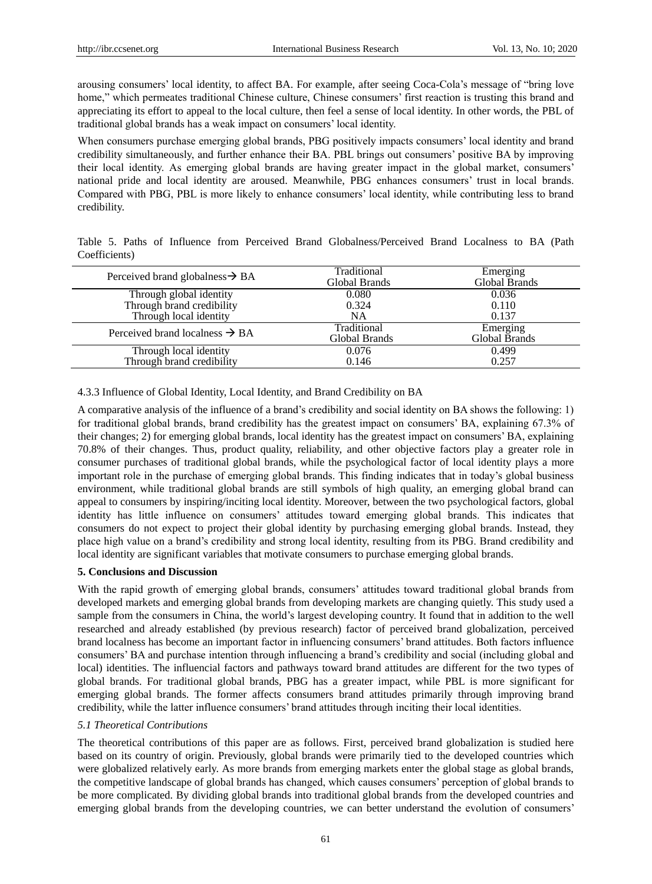arousing consumers' local identity, to affect BA. For example, after seeing Coca-Cola's message of "bring love home," which permeates traditional Chinese culture, Chinese consumers' first reaction is trusting this brand and appreciating its effort to appeal to the local culture, then feel a sense of local identity. In other words, the PBL of traditional global brands has a weak impact on consumers' local identity.

When consumers purchase emerging global brands, PBG positively impacts consumers' local identity and brand credibility simultaneously, and further enhance their BA. PBL brings out consumers' positive BA by improving their local identity. As emerging global brands are having greater impact in the global market, consumers' national pride and local identity are aroused. Meanwhile, PBG enhances consumers' trust in local brands. Compared with PBG, PBL is more likely to enhance consumers' local identity, while contributing less to brand credibility.

|               |  |  |  | Table 5. Paths of Influence from Perceived Brand Globalness/Perceived Brand Localness to BA (Path |  |  |  |
|---------------|--|--|--|---------------------------------------------------------------------------------------------------|--|--|--|
| Coefficients) |  |  |  |                                                                                                   |  |  |  |

| Perceived brand globalness $\rightarrow$ BA         | Traditional<br>Global Brands | Emerging<br>Global Brands |
|-----------------------------------------------------|------------------------------|---------------------------|
| Through global identity                             | 0.080                        | 0.036                     |
| Through brand credibility                           | 0.324                        | 0.110                     |
| Through local identity                              | NA                           | 0.137                     |
| Perceived brand localness $\rightarrow$ BA          | Traditional<br>Global Brands | Emerging<br>Global Brands |
|                                                     | 0.076                        | 0.499                     |
| Through local identity<br>Through brand credibility | 0.146                        | 0.257                     |

## 4.3.3 Influence of Global Identity, Local Identity, and Brand Credibility on BA

A comparative analysis of the influence of a brand's credibility and social identity on BA shows the following: 1) for traditional global brands, brand credibility has the greatest impact on consumers' BA, explaining 67.3% of their changes; 2) for emerging global brands, local identity has the greatest impact on consumers' BA, explaining 70.8% of their changes. Thus, product quality, reliability, and other objective factors play a greater role in consumer purchases of traditional global brands, while the psychological factor of local identity plays a more important role in the purchase of emerging global brands. This finding indicates that in today's global business environment, while traditional global brands are still symbols of high quality, an emerging global brand can appeal to consumers by inspiring/inciting local identity. Moreover, between the two psychological factors, global identity has little influence on consumers' attitudes toward emerging global brands. This indicates that consumers do not expect to project their global identity by purchasing emerging global brands. Instead, they place high value on a brand's credibility and strong local identity, resulting from its PBG. Brand credibility and local identity are significant variables that motivate consumers to purchase emerging global brands.

# **5. Conclusions and Discussion**

With the rapid growth of emerging global brands, consumers' attitudes toward traditional global brands from developed markets and emerging global brands from developing markets are changing quietly. This study used a sample from the consumers in China, the world's largest developing country. It found that in addition to the well researched and already established (by previous research) factor of perceived brand globalization, perceived brand localness has become an important factor in influencing consumers' brand attitudes. Both factors influence consumers' BA and purchase intention through influencing a brand's credibility and social (including global and local) identities. The influencial factors and pathways toward brand attitudes are different for the two types of global brands. For traditional global brands, PBG has a greater impact, while PBL is more significant for emerging global brands. The former affects consumers brand attitudes primarily through improving brand credibility, while the latter influence consumers' brand attitudes through inciting their local identities.

#### *5.1 Theoretical Contributions*

The theoretical contributions of this paper are as follows. First, perceived brand globalization is studied here based on its country of origin. Previously, global brands were primarily tied to the developed countries which were globalized relatively early. As more brands from emerging markets enter the global stage as global brands, the competitive landscape of global brands has changed, which causes consumers' perception of global brands to be more complicated. By dividing global brands into traditional global brands from the developed countries and emerging global brands from the developing countries, we can better understand the evolution of consumers'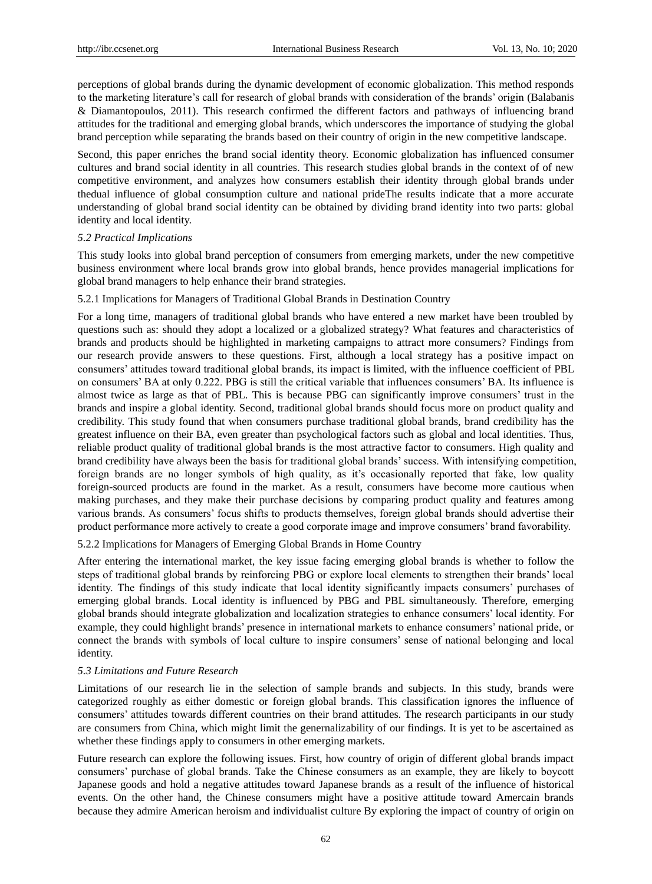perceptions of global brands during the dynamic development of economic globalization. This method responds to the marketing literature's call for research of global brands with consideration of the brands' origin (Balabanis & Diamantopoulos, 2011). This research confirmed the different factors and pathways of influencing brand attitudes for the traditional and emerging global brands, which underscores the importance of studying the global brand perception while separating the brands based on their country of origin in the new competitive landscape.

Second, this paper enriches the brand social identity theory. Economic globalization has influenced consumer cultures and brand social identity in all countries. This research studies global brands in the context of of new competitive environment, and analyzes how consumers establish their identity through global brands under thedual influence of global consumption culture and national prideThe results indicate that a more accurate understanding of global brand social identity can be obtained by dividing brand identity into two parts: global identity and local identity.

## *5.2 Practical Implications*

This study looks into global brand perception of consumers from emerging markets, under the new competitive business environment where local brands grow into global brands, hence provides managerial implications for global brand managers to help enhance their brand strategies.

#### 5.2.1 Implications for Managers of Traditional Global Brands in Destination Country

For a long time, managers of traditional global brands who have entered a new market have been troubled by questions such as: should they adopt a localized or a globalized strategy? What features and characteristics of brands and products should be highlighted in marketing campaigns to attract more consumers? Findings from our research provide answers to these questions. First, although a local strategy has a positive impact on consumers' attitudes toward traditional global brands, its impact is limited, with the influence coefficient of PBL on consumers' BA at only 0.222. PBG is still the critical variable that influences consumers' BA. Its influence is almost twice as large as that of PBL. This is because PBG can significantly improve consumers' trust in the brands and inspire a global identity. Second, traditional global brands should focus more on product quality and credibility. This study found that when consumers purchase traditional global brands, brand credibility has the greatest influence on their BA, even greater than psychological factors such as global and local identities. Thus, reliable product quality of traditional global brands is the most attractive factor to consumers. High quality and brand credibility have always been the basis for traditional global brands' success. With intensifying competition, foreign brands are no longer symbols of high quality, as it's occasionally reported that fake, low quality foreign-sourced products are found in the market. As a result, consumers have become more cautious when making purchases, and they make their purchase decisions by comparing product quality and features among various brands. As consumers' focus shifts to products themselves, foreign global brands should advertise their product performance more actively to create a good corporate image and improve consumers' brand favorability.

5.2.2 Implications for Managers of Emerging Global Brands in Home Country

After entering the international market, the key issue facing emerging global brands is whether to follow the steps of traditional global brands by reinforcing PBG or explore local elements to strengthen their brands' local identity. The findings of this study indicate that local identity significantly impacts consumers' purchases of emerging global brands. Local identity is influenced by PBG and PBL simultaneously. Therefore, emerging global brands should integrate globalization and localization strategies to enhance consumers' local identity. For example, they could highlight brands' presence in international markets to enhance consumers' national pride, or connect the brands with symbols of local culture to inspire consumers' sense of national belonging and local identity.

#### *5.3 Limitations and Future Research*

Limitations of our research lie in the selection of sample brands and subjects. In this study, brands were categorized roughly as either domestic or foreign global brands. This classification ignores the influence of consumers' attitudes towards different countries on their brand attitudes. The research participants in our study are consumers from China, which might limit the genernalizability of our findings. It is yet to be ascertained as whether these findings apply to consumers in other emerging markets.

Future research can explore the following issues. First, how country of origin of different global brands impact consumers' purchase of global brands. Take the Chinese consumers as an example, they are likely to boycott Japanese goods and hold a negative attitudes toward Japanese brands as a result of the influence of historical events. On the other hand, the Chinese consumers might have a positive attitude toward Amercain brands because they admire American heroism and individualist culture By exploring the impact of country of origin on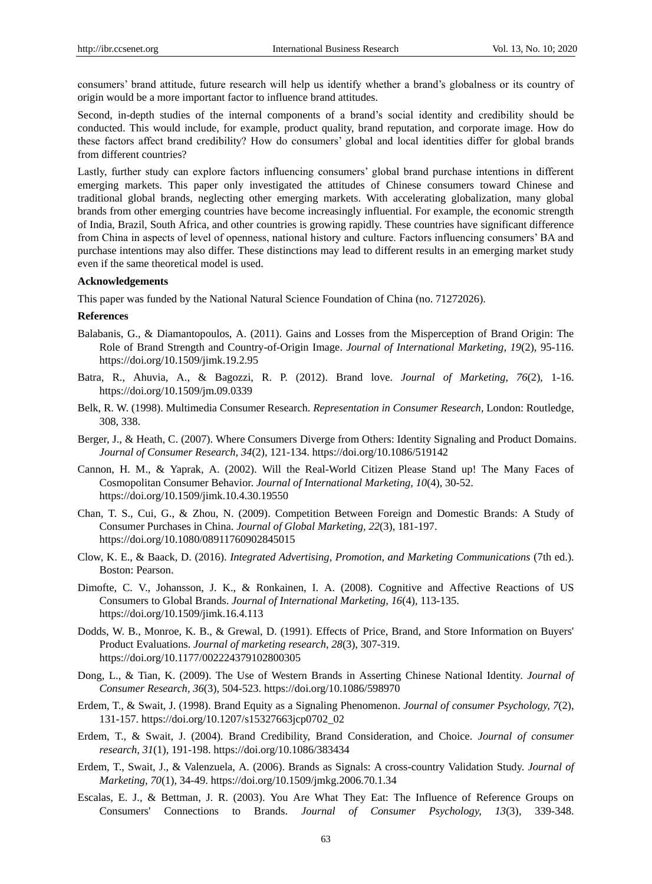consumers' brand attitude, future research will help us identify whether a brand's globalness or its country of origin would be a more important factor to influence brand attitudes.

Second, in-depth studies of the internal components of a brand's social identity and credibility should be conducted. This would include, for example, product quality, brand reputation, and corporate image. How do these factors affect brand credibility? How do consumers' global and local identities differ for global brands from different countries?

Lastly, further study can explore factors influencing consumers' global brand purchase intentions in different emerging markets. This paper only investigated the attitudes of Chinese consumers toward Chinese and traditional global brands, neglecting other emerging markets. With accelerating globalization, many global brands from other emerging countries have become increasingly influential. For example, the economic strength of India, Brazil, South Africa, and other countries is growing rapidly. These countries have significant difference from China in aspects of level of openness, national history and culture. Factors influencing consumers' BA and purchase intentions may also differ. These distinctions may lead to different results in an emerging market study even if the same theoretical model is used.

# **Acknowledgements**

This paper was funded by the National Natural Science Foundation of China (no. 71272026).

## **References**

- Balabanis, G., & Diamantopoulos, A. (2011). Gains and Losses from the Misperception of Brand Origin: The Role of Brand Strength and Country-of-Origin Image. *Journal of International Marketing, 19*(2), 95-116. https://doi.org/10.1509/jimk.19.2.95
- Batra, R., Ahuvia, A., & Bagozzi, R. P. (2012). Brand love. *Journal of Marketing, 76*(2), 1-16. https://doi.org/10.1509/jm.09.0339
- Belk, R. W. (1998). Multimedia Consumer Research. *Representation in Consumer Research*, London: Routledge, 308, 338.
- Berger, J., & Heath, C. (2007). Where Consumers Diverge from Others: Identity Signaling and Product Domains. *Journal of Consumer Research, 34*(2)*,* 121-134. https://doi.org/10.1086/519142
- Cannon, H. M., & Yaprak, A. (2002). Will the Real-World Citizen Please Stand up! The Many Faces of Cosmopolitan Consumer Behavior. *Journal of International Marketing, 10*(4), 30-52. https://doi.org/10.1509/jimk.10.4.30.19550
- Chan, T. S., Cui, G., & Zhou, N. (2009). Competition Between Foreign and Domestic Brands: A Study of Consumer Purchases in China. *Journal of Global Marketing, 22*(3), 181-197. https://doi.org/10.1080/08911760902845015
- Clow, K. E., & Baack, D. (2016). *Integrated Advertising, Promotion, and Marketing Communications* (7th ed.). Boston: Pearson.
- Dimofte, C. V., Johansson, J. K., & Ronkainen, I. A. (2008). Cognitive and Affective Reactions of US Consumers to Global Brands. *Journal of International Marketing, 16*(4)*,* 113-135. https://doi.org/10.1509/jimk.16.4.113
- Dodds, W. B., Monroe, K. B., & Grewal, D. (1991). Effects of Price, Brand, and Store Information on Buyers' Product Evaluations. *Journal of marketing research, 28*(3), 307-319. https://doi.org/10.1177/002224379102800305
- Dong, L., & Tian, K. (2009). The Use of Western Brands in Asserting Chinese National Identity. *Journal of Consumer Research, 36*(3), 504-523. https://doi.org/10.1086/598970
- Erdem, T., & Swait, J. (1998). Brand Equity as a Signaling Phenomenon. *Journal of consumer Psychology, 7*(2), 131-157. https://doi.org/10.1207/s15327663jcp0702\_02
- Erdem, T., & Swait, J. (2004). Brand Credibility, Brand Consideration, and Choice. *Journal of consumer research, 31*(1)*,* 191-198. https://doi.org/10.1086/383434
- Erdem, T., Swait, J., & Valenzuela, A. (2006). Brands as Signals: A cross-country Validation Study. *Journal of Marketing, 70*(1), 34-49. https://doi.org/10.1509/jmkg.2006.70.1.34
- Escalas, E. J., & Bettman, J. R. (2003). You Are What They Eat: The Influence of Reference Groups on Consumers' Connections to Brands. *Journal of Consumer Psychology, 13*(3)*,* 339-348.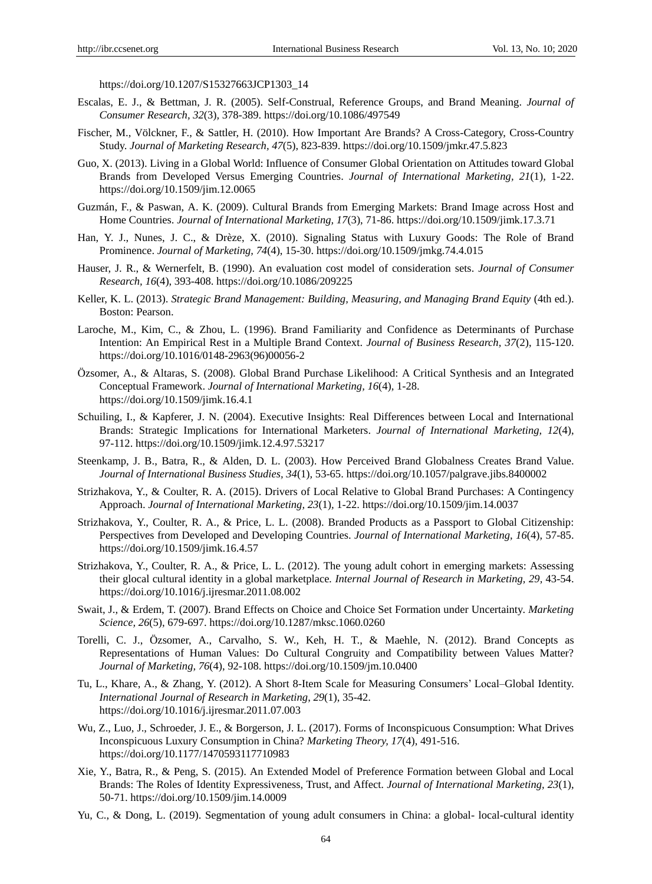https://doi.org/10.1207/S15327663JCP1303\_14

- Escalas, E. J., & Bettman, J. R. (2005). Self-Construal, Reference Groups, and Brand Meaning. *Journal of Consumer Research, 32*(3)*,* 378-389. https://doi.org/10.1086/497549
- Fischer, M., Völckner, F., & Sattler, H. (2010). How Important Are Brands? A Cross-Category, Cross-Country Study. *Journal of Marketing Research, 47*(5), 823-839. https://doi.org/10.1509/jmkr.47.5.823
- Guo, X. (2013). Living in a Global World: Influence of Consumer Global Orientation on Attitudes toward Global Brands from Developed Versus Emerging Countries. *Journal of International Marketing, 21*(1)*,* 1-22. https://doi.org/10.1509/jim.12.0065
- Guzmán, F., & Paswan, A. K. (2009). Cultural Brands from Emerging Markets: Brand Image across Host and Home Countries. *Journal of International Marketing, 17*(3), 71-86. https://doi.org/10.1509/jimk.17.3.71
- Han, Y. J., Nunes, J. C., & Drèze, X. (2010). Signaling Status with Luxury Goods: The Role of Brand Prominence. *Journal of Marketing, 74*(4), 15-30. https://doi.org/10.1509/jmkg.74.4.015
- Hauser, J. R., & Wernerfelt, B. (1990). An evaluation cost model of consideration sets. *Journal of Consumer Research, 16*(4), 393-408. https://doi.org/10.1086/209225
- Keller, K. L. (2013). *Strategic Brand Management: Building, Measuring, and Managing Brand Equity* (4th ed.). Boston: Pearson.
- Laroche, M., Kim, C., & Zhou, L. (1996). Brand Familiarity and Confidence as Determinants of Purchase Intention: An Empirical Rest in a Multiple Brand Context. *Journal of Business Research, 37*(2), 115-120. https://doi.org/10.1016/0148-2963(96)00056-2
- Özsomer, A., & Altaras, S. (2008). Global Brand Purchase Likelihood: A Critical Synthesis and an Integrated Conceptual Framework. *Journal of International Marketing, 16*(4)*,* 1-28. https://doi.org/10.1509/jimk.16.4.1
- Schuiling, I., & Kapferer, J. N. (2004). Executive Insights: Real Differences between Local and International Brands: Strategic Implications for International Marketers. *Journal of International Marketing, 12*(4), 97-112. https://doi.org/10.1509/jimk.12.4.97.53217
- Steenkamp, J. B., Batra, R., & Alden, D. L. (2003). How Perceived Brand Globalness Creates Brand Value. *Journal of International Business Studies, 34*(1)*,* 53-65. https://doi.org/10.1057/palgrave.jibs.8400002
- Strizhakova, Y., & Coulter, R. A. (2015). Drivers of Local Relative to Global Brand Purchases: A Contingency Approach. *Journal of International Marketing, 23*(1)*,* 1-22. https://doi.org/10.1509/jim.14.0037
- Strizhakova, Y., Coulter, R. A., & Price, L. L. (2008). Branded Products as a Passport to Global Citizenship: Perspectives from Developed and Developing Countries. *Journal of International Marketing, 16*(4)*,* 57-85. https://doi.org/10.1509/jimk.16.4.57
- Strizhakova, Y., Coulter, R. A., & Price, L. L. (2012). The young adult cohort in emerging markets: Assessing their glocal cultural identity in a global marketplace*. Internal Journal of Research in Marketing, 29,* 43-54. https://doi.org/10.1016/j.ijresmar.2011.08.002
- Swait, J., & Erdem, T. (2007). Brand Effects on Choice and Choice Set Formation under Uncertainty. *Marketing Science, 26*(5), 679-697. https://doi.org/10.1287/mksc.1060.0260
- Torelli, C. J., Özsomer, A., Carvalho, S. W., Keh, H. T., & Maehle, N. (2012). Brand Concepts as Representations of Human Values: Do Cultural Congruity and Compatibility between Values Matter? *Journal of Marketing, 76*(4), 92-108. https://doi.org/10.1509/jm.10.0400
- Tu, L., Khare, A., & Zhang, Y. (2012). A Short 8-Item Scale for Measuring Consumers' Local–Global Identity. *International Journal of Research in Marketing*, *29*(1), 35-42. https://doi.org/10.1016/j.ijresmar.2011.07.003
- Wu, Z., Luo, J., Schroeder, J. E., & Borgerson, J. L. (2017). Forms of Inconspicuous Consumption: What Drives Inconspicuous Luxury Consumption in China? *Marketing Theory, 17*(4), 491-516. https://doi.org/10.1177/1470593117710983
- Xie, Y., Batra, R., & Peng, S. (2015). An Extended Model of Preference Formation between Global and Local Brands: The Roles of Identity Expressiveness, Trust, and Affect*. Journal of International Marketing, 23*(1), 50-71. https://doi.org/10.1509/jim.14.0009
- Yu, C., & Dong, L. (2019). Segmentation of young adult consumers in China: a global- local-cultural identity